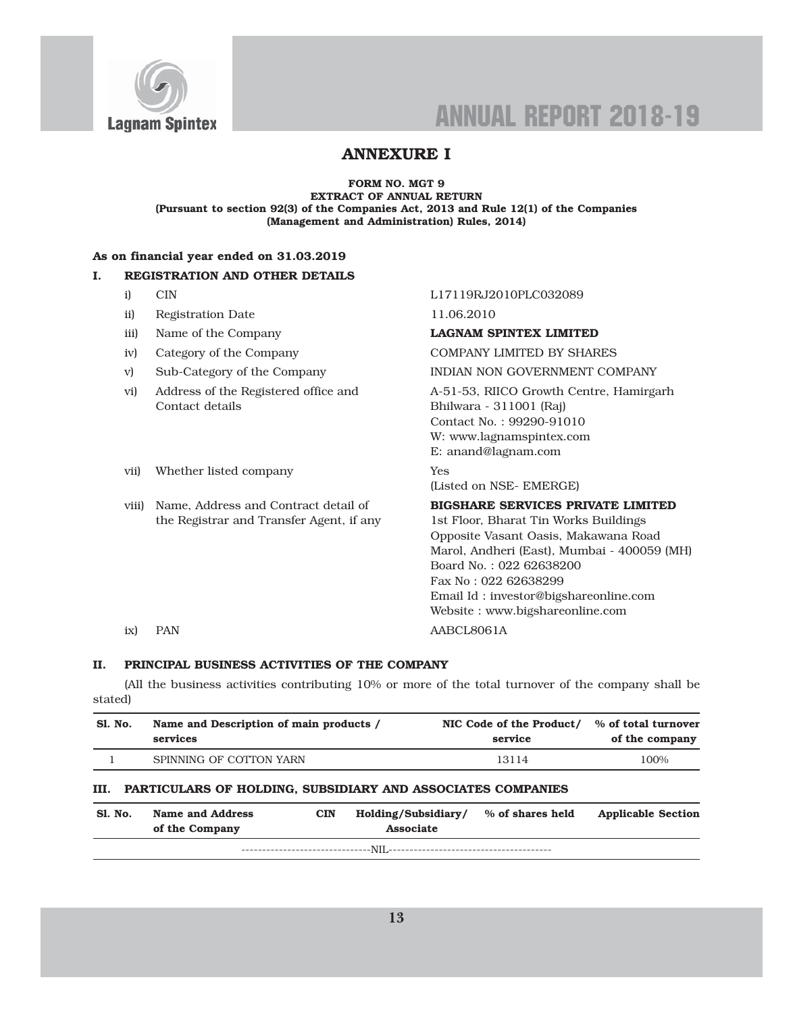

## ANNEXURE I

#### FORM NO. MGT 9 EXTRACT OF ANNUAL RETURN (Pursuant to section 92(3) of the Companies Act, 2013 and Rule 12(1) of the Companies (Management and Administration) Rules, 2014)

### As on financial year ended on 31.03.2019

### I. REGISTRATION AND OTHER DETAILS

- 
- ii) Registration Date 11.06.2010
- iii) Name of the Company **LAGNAM SPINTEX LIMITED**
- 
- 
- Contact details Bhilwara 311001 (Raj)

#### i) CIN L17119RJ2010PLC032089

iv) Category of the Company COMPANY LIMITED BY SHARES

v) Sub-Category of the Company INDIAN NON GOVERNMENT COMPANY

vi) Address of the Registered office and A-51-53, RIICO Growth Centre, Hamirgarh Contact No. : 99290-91010 W: www.lagnamspintex.com E: anand@lagnam.com

vii) Whether listed company Yes (Listed on NSE- EMERGE)

viii) Name, Address and Contract detail of BIGSHARE SERVICES PRIVATE LIMITED the Registrar and Transfer Agent, if any 1st Floor, Bharat Tin Works Buildings Opposite Vasant Oasis, Makawana Road Marol, Andheri (East), Mumbai - 400059 (MH) Board No. : 022 62638200 Fax No : 022 62638299 Email Id : investor@bigshareonline.com Website : www.bigshareonline.com ix) PAN AABCL8061A

### II. PRINCIPAL BUSINESS ACTIVITIES OF THE COMPANY

(All the business activities contributing 10% or more of the total turnover of the company shall be stated)

| <b>Sl. No.</b> | Name and Description of main products /<br>services         |                            |                                  | NIC Code of the Product/<br>service | % of total turnover<br>of the company |
|----------------|-------------------------------------------------------------|----------------------------|----------------------------------|-------------------------------------|---------------------------------------|
|                | SPINNING OF COTTON YARN                                     |                            |                                  | 13114                               | 100%                                  |
| III.           | PARTICULARS OF HOLDING, SUBSIDIARY AND ASSOCIATES COMPANIES |                            |                                  |                                     |                                       |
| <b>S1. No.</b> | Name and Address<br>of the Company                          | <b>CIN</b>                 | Holding/Subsidiary/<br>Associate | % of shares held                    | <b>Applicable Section</b>             |
|                |                                                             | -------------------------- | --NIL-                           |                                     |                                       |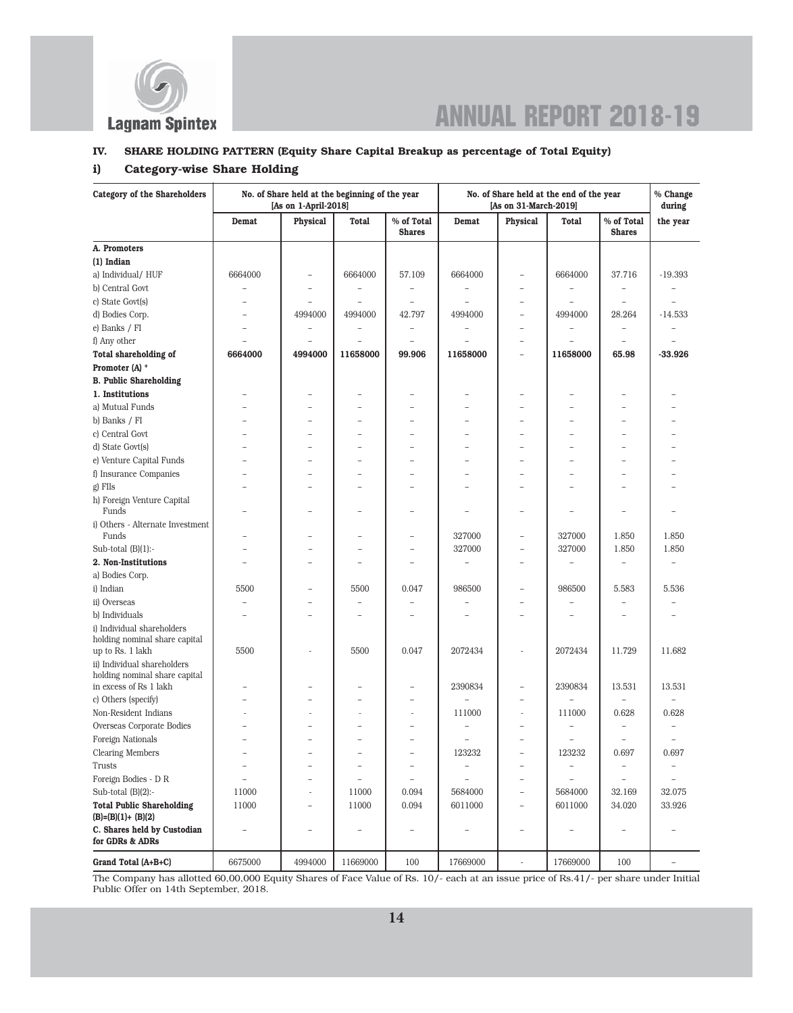

### IV. SHARE HOLDING PATTERN (Equity Share Capital Breakup as percentage of Total Equity)

### i) Category-wise Share Holding

| Category of the Shareholders                                |                          | No. of Share held at the beginning of the year<br>[As on 1-April-2018] |                          |                             | No. of Share held at the end of the year<br>[As on 31-March-2019] |                          |                          | % Change<br>during          |                          |
|-------------------------------------------------------------|--------------------------|------------------------------------------------------------------------|--------------------------|-----------------------------|-------------------------------------------------------------------|--------------------------|--------------------------|-----------------------------|--------------------------|
|                                                             | Demat                    | Physical                                                               | <b>Total</b>             | % of Total<br><b>Shares</b> | Demat                                                             | <b>Physical</b>          | Total                    | % of Total<br><b>Shares</b> | the year                 |
| A. Promoters                                                |                          |                                                                        |                          |                             |                                                                   |                          |                          |                             |                          |
| (1) Indian                                                  |                          |                                                                        |                          |                             |                                                                   |                          |                          |                             |                          |
| a) Individual/HUF                                           | 6664000                  | $\qquad \qquad -$                                                      | 6664000                  | 57.109                      | 6664000                                                           | $\overline{\phantom{0}}$ | 6664000                  | 37.716                      | $-19.393$                |
| b) Central Govt                                             |                          |                                                                        |                          |                             |                                                                   |                          |                          |                             |                          |
| c) State Govt(s)                                            |                          |                                                                        |                          |                             |                                                                   | $\overline{\phantom{0}}$ |                          |                             |                          |
| d) Bodies Corp.                                             |                          | 4994000                                                                | 4994000                  | 42.797                      | 4994000                                                           | $\overline{\phantom{0}}$ | 4994000                  | 28.264                      | $-14.533$                |
| e) Banks / FI                                               | $\equiv$                 |                                                                        |                          | $\equiv$                    |                                                                   | $\overline{\phantom{0}}$ |                          | $\overline{\phantom{a}}$    |                          |
| f) Any other                                                | $\equiv$                 |                                                                        | $\overline{\phantom{0}}$ | $\overline{a}$              |                                                                   | $\overline{\phantom{0}}$ | ÷                        | $\overline{\phantom{0}}$    |                          |
| <b>Total shareholding of</b>                                | 6664000                  | 4994000                                                                | 11658000                 | 99.906                      | 11658000                                                          | $\overline{\phantom{0}}$ | 11658000                 | 65.98                       | $-33.926$                |
| Promoter (A) *                                              |                          |                                                                        |                          |                             |                                                                   |                          |                          |                             |                          |
| <b>B. Public Shareholding</b>                               |                          |                                                                        |                          |                             |                                                                   |                          |                          |                             |                          |
| 1. Institutions                                             |                          | $\overline{\phantom{0}}$                                               | $\overline{\phantom{0}}$ | $\overline{\phantom{0}}$    |                                                                   |                          |                          | ۰                           |                          |
| a) Mutual Funds                                             |                          |                                                                        |                          |                             |                                                                   |                          |                          | $\overline{\phantom{a}}$    |                          |
| b) Banks / FI                                               |                          | -                                                                      | -                        | $\overline{\phantom{0}}$    |                                                                   |                          | -                        | $\overline{\phantom{0}}$    |                          |
| c) Central Govt                                             |                          |                                                                        | $\overline{\phantom{0}}$ | $\overline{\phantom{0}}$    |                                                                   |                          |                          | $\overline{\phantom{a}}$    |                          |
| d) State Govt(s)                                            |                          |                                                                        |                          | $\rightarrow$               |                                                                   |                          |                          | $\overline{\phantom{a}}$    |                          |
| e) Venture Capital Funds                                    |                          | $\overline{\phantom{0}}$                                               |                          | $\overline{\phantom{0}}$    |                                                                   |                          |                          | $\overline{\phantom{a}}$    |                          |
| f) Insurance Companies                                      | ۳                        | $\rightarrow$                                                          | $\equiv$                 | $\rightarrow$               | ÷                                                                 | ÷,                       | $\rightarrow$            | $\overline{a}$              |                          |
| g) FIIs                                                     |                          |                                                                        |                          |                             |                                                                   |                          |                          | $\overline{\phantom{0}}$    |                          |
| h) Foreign Venture Capital<br>Funds                         |                          |                                                                        | -                        | $\overline{\phantom{0}}$    |                                                                   | ۰                        |                          | ۰                           | -                        |
| il Others - Alternate Investment                            |                          |                                                                        |                          |                             |                                                                   |                          |                          |                             |                          |
| Funds                                                       |                          |                                                                        |                          | $\overline{\phantom{0}}$    | 327000                                                            | $\overline{\phantom{0}}$ | 327000                   | 1.850                       | 1.850                    |
| Sub-total $(B)(1)$ :-                                       |                          |                                                                        | -                        | $\overline{\phantom{0}}$    | 327000                                                            | $\overline{\phantom{0}}$ | 327000                   | 1.850                       | 1.850                    |
| 2. Non-Institutions                                         |                          |                                                                        | -                        | $\overline{\phantom{a}}$    |                                                                   | $\overline{\phantom{0}}$ |                          |                             |                          |
| a) Bodies Corp.                                             |                          |                                                                        |                          |                             |                                                                   |                          |                          |                             |                          |
| i) Indian                                                   | 5500                     | $\equiv$                                                               | 5500                     | 0.047                       | 986500                                                            | $\overline{\phantom{a}}$ | 986500                   | 5.583                       | 5.536                    |
| ii) Overseas                                                |                          |                                                                        |                          | $\overline{a}$              |                                                                   |                          |                          | $\overline{\phantom{a}}$    |                          |
| b) Individuals                                              |                          |                                                                        |                          |                             |                                                                   |                          |                          | $\overline{\phantom{a}}$    |                          |
| i) Individual shareholders<br>holding nominal share capital |                          |                                                                        |                          |                             |                                                                   |                          |                          |                             |                          |
| up to Rs. 1 lakh                                            | 5500                     |                                                                        | 5500                     | 0.047                       | 2072434                                                           |                          | 2072434                  | 11.729                      | 11.682                   |
| ii) Individual shareholders                                 |                          |                                                                        |                          |                             |                                                                   |                          |                          |                             |                          |
| holding nominal share capital<br>in excess of Rs 1 lakh     |                          |                                                                        |                          |                             | 2390834                                                           |                          | 2390834                  | 13.531                      | 13.531                   |
| c) Others (specify)                                         |                          |                                                                        | -                        | $\qquad \qquad -$           |                                                                   | $\overline{\phantom{0}}$ |                          |                             |                          |
| Non-Resident Indians                                        |                          |                                                                        |                          | ÷,                          | 111000                                                            | L,                       | 111000                   | 0.628                       | 0.628                    |
| Overseas Corporate Bodies                                   | $\equiv$                 | $\rightarrow$                                                          | $\equiv$                 | $\equiv$                    | $\overline{\phantom{a}}$                                          | $\equiv$                 | $\equiv$                 | $\equiv$                    | $\equiv$                 |
| Foreign Nationals                                           |                          |                                                                        |                          |                             | $\overline{\phantom{a}}$                                          | $\overline{\phantom{0}}$ | $\overline{\phantom{0}}$ | $\qquad \qquad -$           | $\overline{\phantom{0}}$ |
| <b>Clearing Members</b>                                     | $\overline{\phantom{0}}$ | $\overline{\phantom{0}}$                                               | $\overline{\phantom{0}}$ | $\overline{\phantom{0}}$    | 123232                                                            | $\qquad \qquad -$        | 123232                   | 0.697                       | 0.697                    |
| Trusts                                                      |                          | $\qquad \qquad -$                                                      | $\overline{\phantom{0}}$ | $\qquad \qquad -$           | $\qquad \qquad -$                                                 | $\qquad \qquad -$        |                          | $\overline{\phantom{a}}$    |                          |
| Foreign Bodies - D R                                        |                          | $\equiv$                                                               |                          | $\overline{\phantom{a}}$    |                                                                   | $\equiv$                 |                          |                             |                          |
| Sub-total $(B)(2)$ :-                                       | 11000                    | $\sim$                                                                 | 11000                    | 0.094                       | 5684000                                                           | $\qquad \qquad -$        | 5684000                  | 32.169                      | 32.075                   |
| <b>Total Public Shareholding</b>                            | 11000                    | $\qquad \qquad -$                                                      | 11000                    | 0.094                       | 6011000                                                           | $\qquad \qquad -$        | 6011000                  | 34.020                      | 33.926                   |
| $(B)=(B)(1)+(B)(2)$                                         |                          |                                                                        |                          |                             |                                                                   |                          |                          |                             |                          |
| C. Shares held by Custodian<br>for GDRs & ADRs              | $\qquad \qquad -$        | $\qquad \qquad -$                                                      | $\overline{\phantom{0}}$ | $\overline{\phantom{0}}$    | $\overline{\phantom{0}}$                                          | $\qquad \qquad -$        | $\overline{\phantom{0}}$ | $\qquad \qquad -$           |                          |
| Grand Total (A+B+C)                                         | 6675000                  | 4994000                                                                | 11669000                 | $100\,$                     | 17669000                                                          | $\bar{\phantom{a}}$      | 17669000                 | 100                         | $\overline{\phantom{a}}$ |

The Company has allotted 60,00,000 Equity Shares of Face Value of Rs. 10/- each at an issue price of Rs.41/- per share under Initial Public Offer on 14th September, 2018.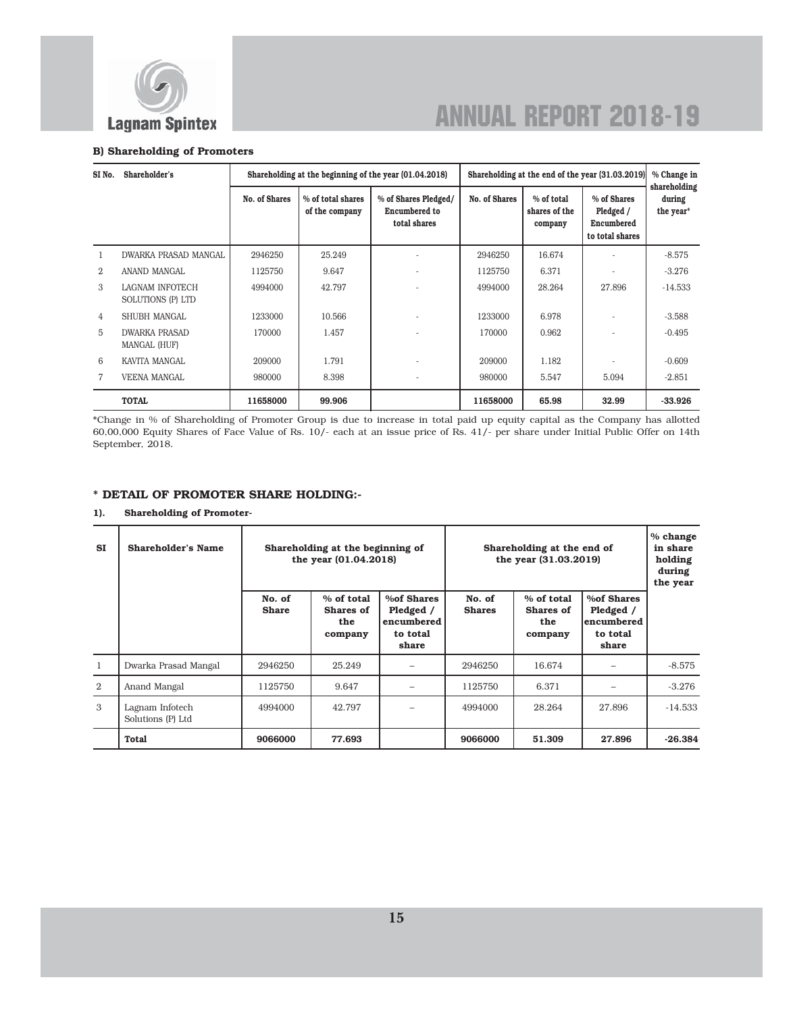

#### B) Shareholding of Promoters

| SI No.         | Shareholder's                        |               |                                     | Shareholding at the beginning of the year (01.04.2018)       | Shareholding at the end of the year (31.03.2019) |                                        |                                                           | % Change in                         |
|----------------|--------------------------------------|---------------|-------------------------------------|--------------------------------------------------------------|--------------------------------------------------|----------------------------------------|-----------------------------------------------------------|-------------------------------------|
|                |                                      | No. of Shares | % of total shares<br>of the company | % of Shares Pledged/<br><b>Encumbered</b> to<br>total shares | No. of Shares                                    | % of total<br>shares of the<br>company | % of Shares<br>Pledged /<br>Encumbered<br>to total shares | shareholding<br>during<br>the year* |
|                | DWARKA PRASAD MANGAL                 | 2946250       | 25.249                              |                                                              | 2946250                                          | 16.674                                 |                                                           | $-8.575$                            |
| 2              | ANAND MANGAL                         | 1125750       | 9.647                               |                                                              | 1125750                                          | 6.371                                  |                                                           | $-3.276$                            |
| 3              | LAGNAM INFOTECH<br>SOLUTIONS (P) LTD | 4994000       | 42.797                              |                                                              | 4994000                                          | 28.264                                 | 27.896                                                    | $-14.533$                           |
| $\overline{4}$ | SHUBH MANGAL                         | 1233000       | 10.566                              |                                                              | 1233000                                          | 6.978                                  |                                                           | $-3.588$                            |
| 5              | <b>DWARKA PRASAD</b><br>MANGAL (HUF) | 170000        | 1.457                               |                                                              | 170000                                           | 0.962                                  |                                                           | $-0.495$                            |
| 6              | KAVITA MANGAL                        | 209000        | 1.791                               |                                                              | 209000                                           | 1.182                                  |                                                           | $-0.609$                            |
| 7              | <b>VEENA MANGAL</b>                  | 980000        | 8.398                               |                                                              | 980000                                           | 5.547                                  | 5.094                                                     | $-2.851$                            |
|                | <b>TOTAL</b>                         | 11658000      | 99.906                              |                                                              | 11658000                                         | 65.98                                  | 32.99                                                     | $-33.926$                           |

\*Change in % of Shareholding of Promoter Group is due to increase in total paid up equity capital as the Company has allotted 60,00,000 Equity Shares of Face Value of Rs. 10/- each at an issue price of Rs. 41/- per share under Initial Public Offer on 14th September, 2018.

### \* DETAIL OF PROMOTER SHARE HOLDING:-

### 1). Shareholding of Promoter-

| <b>ST</b> | <b>Shareholder's Name</b>            |                        | Shareholding at the beginning of<br>the year (01.04.2018) |                                                            | Shareholding at the end of<br>the year (31.03.2019) |                                           |                                                                    | % change<br>in share<br>holding<br>during<br>the year |
|-----------|--------------------------------------|------------------------|-----------------------------------------------------------|------------------------------------------------------------|-----------------------------------------------------|-------------------------------------------|--------------------------------------------------------------------|-------------------------------------------------------|
|           |                                      | No. of<br><b>Share</b> | % of total<br>Shares of<br>the<br>company                 | %of Shares<br>Pledged /<br>encumbered<br>to total<br>share | No. of<br><b>Shares</b>                             | % of total<br>Shares of<br>the<br>company | <b>%of Shares</b><br>Pledged /<br>lencumbered<br>to total<br>share |                                                       |
| 1         | Dwarka Prasad Mangal                 | 2946250                | 25.249                                                    |                                                            | 2946250                                             | 16.674                                    |                                                                    | $-8.575$                                              |
| 2         | Anand Mangal                         | 1125750                | 9.647                                                     |                                                            | 1125750                                             | 6.371                                     |                                                                    | $-3.276$                                              |
| 3         | Lagnam Infotech<br>Solutions (P) Ltd | 4994000                | 42.797                                                    |                                                            | 4994000                                             | 28.264                                    | 27.896                                                             | $-14.533$                                             |
|           | Total                                | 9066000                | 77.693                                                    |                                                            | 9066000                                             | 51.309                                    | 27.896                                                             | $-26.384$                                             |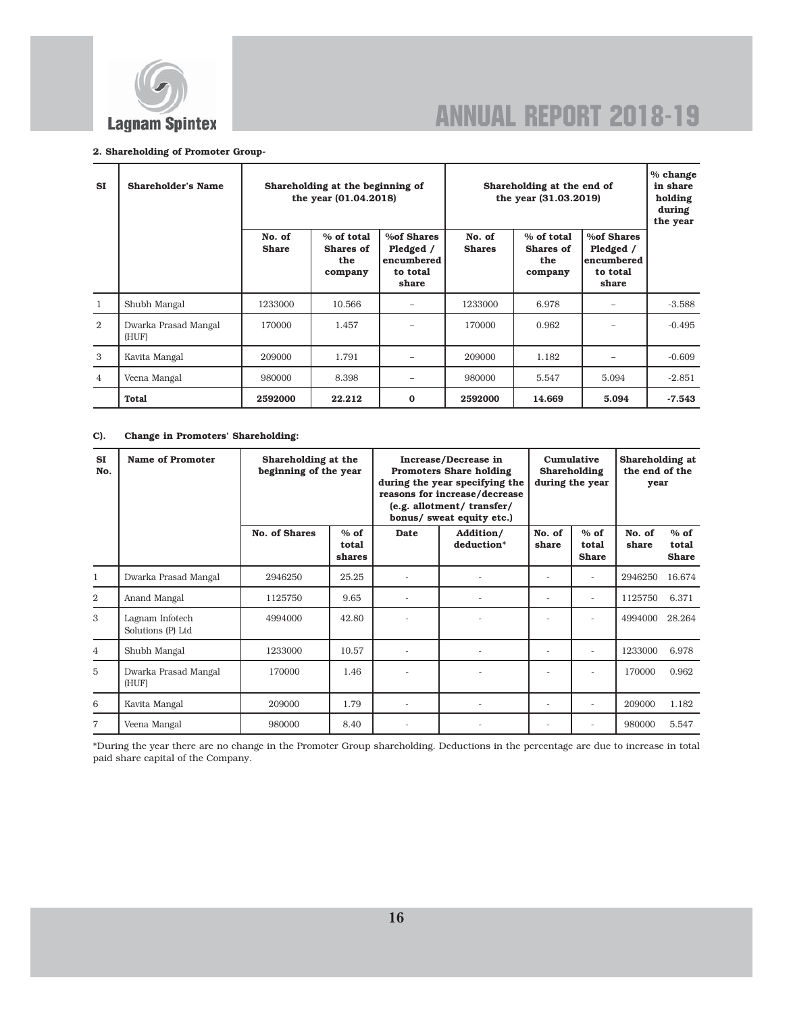

#### 2. Shareholding of Promoter Group-

| ST             | <b>Shareholder's Name</b>     |                        | Shareholding at the beginning of<br>the year (01.04.2018) |                                                                   | Shareholding at the end of<br>the year (31.03.2019) |                                           |                                                             | % change<br>in share<br>holding<br>during<br>the year |
|----------------|-------------------------------|------------------------|-----------------------------------------------------------|-------------------------------------------------------------------|-----------------------------------------------------|-------------------------------------------|-------------------------------------------------------------|-------------------------------------------------------|
|                |                               | No. of<br><b>Share</b> | % of total<br>Shares of<br>the<br>company                 | <b>%of Shares</b><br>Pledged /<br>encumbered<br>to total<br>share | No. of<br><b>Shares</b>                             | % of total<br>Shares of<br>the<br>company | %of Shares<br>Pledged /<br>lencumbered<br>to total<br>share |                                                       |
| 1              | Shubh Mangal                  | 1233000                | 10.566                                                    |                                                                   | 1233000                                             | 6.978                                     |                                                             | $-3.588$                                              |
| $\overline{2}$ | Dwarka Prasad Mangal<br>(HUF) | 170000                 | 1.457                                                     |                                                                   | 170000                                              | 0.962                                     |                                                             | $-0.495$                                              |
| 3              | Kavita Mangal                 | 209000                 | 1.791                                                     |                                                                   | 209000                                              | 1.182                                     |                                                             | $-0.609$                                              |
| $\overline{4}$ | Veena Mangal                  | 980000                 | 8.398                                                     | -                                                                 | 980000                                              | 5.547                                     | 5.094                                                       | $-2.851$                                              |
|                | Total                         | 2592000                | 22.212                                                    | 0                                                                 | 2592000                                             | 14.669                                    | 5.094                                                       | $-7.543$                                              |

### C). Change in Promoters' Shareholding:

| <b>SI</b><br>No. | Name of Promoter                     | Shareholding at the<br>beginning of the year |                           | Increase/Decrease in<br><b>Promoters Share holding</b><br>during the year specifying the<br>reasons for increase/decrease<br>(e.g. allotment/ transfer/<br>bonus/ sweat equity etc.) |                         | Cumulative<br>Shareholding<br>during the year |                                 | Shareholding at<br>the end of the<br>year |                                 |
|------------------|--------------------------------------|----------------------------------------------|---------------------------|--------------------------------------------------------------------------------------------------------------------------------------------------------------------------------------|-------------------------|-----------------------------------------------|---------------------------------|-------------------------------------------|---------------------------------|
|                  |                                      | <b>No. of Shares</b>                         | $%$ of<br>total<br>shares | <b>Date</b>                                                                                                                                                                          | Addition/<br>deduction* | No. of<br>share                               | $%$ of<br>total<br><b>Share</b> | No. of<br>share                           | $%$ of<br>total<br><b>Share</b> |
| 1                | Dwarka Prasad Mangal                 | 2946250                                      | 25.25                     |                                                                                                                                                                                      |                         |                                               |                                 | 2946250                                   | 16.674                          |
| $\overline{2}$   | Anand Mangal                         | 1125750                                      | 9.65                      | $\overline{\phantom{a}}$                                                                                                                                                             |                         | ٠                                             | $\overline{a}$                  | 1125750                                   | 6.371                           |
| 3                | Lagnam Infotech<br>Solutions (P) Ltd | 4994000                                      | 42.80                     |                                                                                                                                                                                      |                         |                                               |                                 | 4994000                                   | 28.264                          |
| $\overline{4}$   | Shubh Mangal                         | 1233000                                      | 10.57                     |                                                                                                                                                                                      |                         |                                               | $\overline{a}$                  | 1233000                                   | 6.978                           |
| 5                | Dwarka Prasad Mangal<br>(HUF)        | 170000                                       | 1.46                      |                                                                                                                                                                                      |                         |                                               | ٠                               | 170000                                    | 0.962                           |
| 6                | Kavita Mangal                        | 209000                                       | 1.79                      |                                                                                                                                                                                      |                         |                                               | $\overline{a}$                  | 209000                                    | 1.182                           |
| $\overline{7}$   | Veena Mangal                         | 980000                                       | 8.40                      |                                                                                                                                                                                      |                         |                                               | $\overline{a}$                  | 980000                                    | 5.547                           |

\*During the year there are no change in the Promoter Group shareholding. Deductions in the percentage are due to increase in total paid share capital of the Company.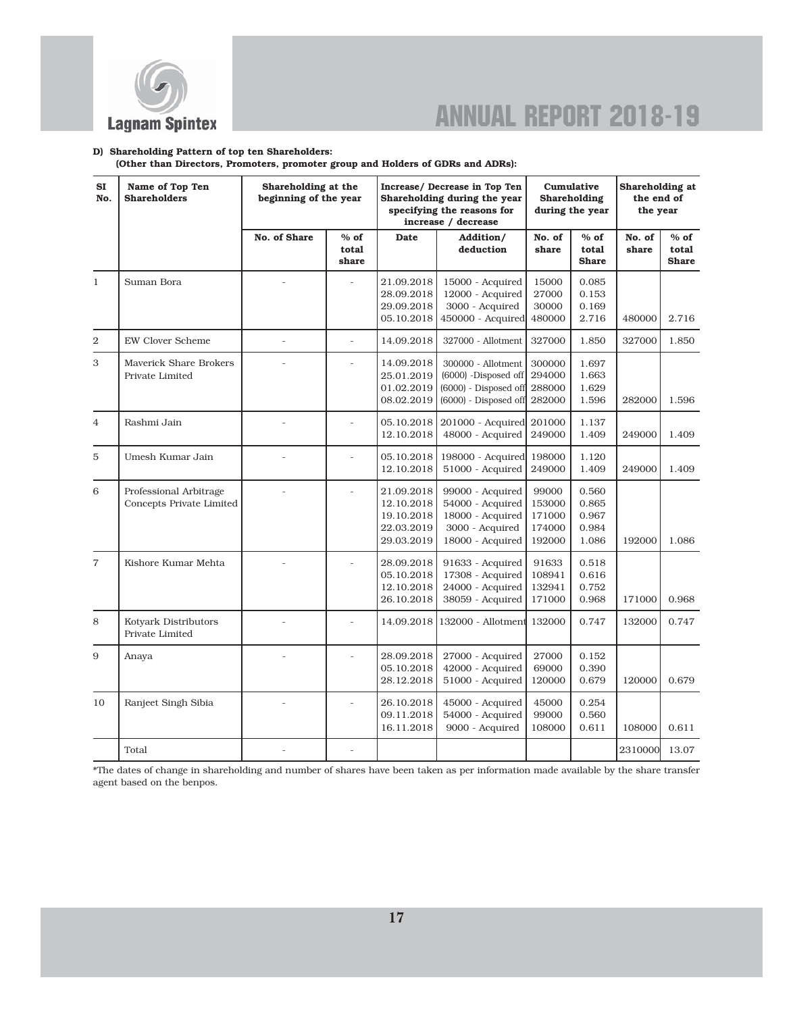

#### D) Shareholding Pattern of top ten Shareholders:

(Other than Directors, Promoters, promoter group and Holders of GDRs and ADRs):

| SI<br>No.      | Name of Top Ten<br><b>Shareholders</b>                    |                | Shareholding at the<br>Increase/ Decrease in Top Ten<br>Cumulative<br>beginning of the year<br>Shareholding during the year<br>Shareholding<br>specifying the reasons for<br>during the year<br>increase / decrease |                                                                    |                                                                                                       |                                               |                                           | Shareholding at<br>the end of<br>the year |                                 |
|----------------|-----------------------------------------------------------|----------------|---------------------------------------------------------------------------------------------------------------------------------------------------------------------------------------------------------------------|--------------------------------------------------------------------|-------------------------------------------------------------------------------------------------------|-----------------------------------------------|-------------------------------------------|-------------------------------------------|---------------------------------|
|                |                                                           | No. of Share   | $%$ of<br>total<br>share                                                                                                                                                                                            | <b>Date</b>                                                        | Addition/<br>deduction                                                                                | No. of<br>share                               | $%$ of<br>total<br><b>Share</b>           | No. of<br>share                           | $%$ of<br>total<br><b>Share</b> |
| $\mathbf{1}$   | Suman Bora                                                |                |                                                                                                                                                                                                                     | 21.09.2018<br>28.09.2018<br>29.09.2018<br>05.10.2018               | 15000 - Acquired<br>12000 - Acquired<br>3000 - Acquired<br>450000 - Acquired                          | 15000<br>27000<br>30000<br>480000             | 0.085<br>0.153<br>0.169<br>2.716          | 480000                                    | 2.716                           |
| $\overline{2}$ | <b>EW Clover Scheme</b>                                   | $\overline{a}$ | $\overline{a}$                                                                                                                                                                                                      | 14.09.2018                                                         | 327000 - Allotment                                                                                    | 327000                                        | 1.850                                     | 327000                                    | 1.850                           |
| 3              | <b>Maverick Share Brokers</b><br>Private Limited          |                |                                                                                                                                                                                                                     | 14.09.2018<br>25.01.2019<br>01.02.2019<br>08.02.2019               | 300000 - Allotment<br>(6000) -Disposed off<br>(6000) - Disposed off<br>$(6000)$ - Disposed off 282000 | 300000<br>294000<br>288000                    | 1.697<br>1.663<br>1.629<br>1.596          | 282000                                    | 1.596                           |
| $\overline{4}$ | Rashmi Jain                                               |                |                                                                                                                                                                                                                     | 05.10.2018<br>12.10.2018                                           | 201000 - Acquired 201000<br>48000 - Acquired                                                          | 249000                                        | 1.137<br>1.409                            | 249000                                    | 1.409                           |
| 5              | Umesh Kumar Jain                                          |                |                                                                                                                                                                                                                     | 05.10.2018<br>12.10.2018                                           | 198000 - Acquired<br>51000 - Acquired                                                                 | 198000<br>249000                              | 1.120<br>1.409                            | 249000                                    | 1.409                           |
| 6              | Professional Arbitrage<br><b>Concepts Private Limited</b> |                | $\overline{a}$                                                                                                                                                                                                      | 21.09.2018<br>12.10.2018<br>19.10.2018<br>22.03.2019<br>29.03.2019 | 99000 - Acquired<br>54000 - Acquired<br>18000 - Acquired<br>3000 - Acquired<br>18000 - Acquired       | 99000<br>153000<br>171000<br>174000<br>192000 | 0.560<br>0.865<br>0.967<br>0.984<br>1.086 | 192000                                    | 1.086                           |
| $\overline{7}$ | Kishore Kumar Mehta                                       | $\overline{a}$ |                                                                                                                                                                                                                     | 28.09.2018<br>05.10.2018<br>12.10.2018<br>26.10.2018               | 91633 - Acquired<br>17308 - Acquired<br>24000 - Acquired<br>38059 - Acquired                          | 91633<br>108941<br>132941<br>171000           | 0.518<br>0.616<br>0.752<br>0.968          | 171000                                    | 0.968                           |
| 8              | Kotyark Distributors<br>Private Limited                   |                |                                                                                                                                                                                                                     | 14.09.2018                                                         | 132000 - Allotment 132000                                                                             |                                               | 0.747                                     | 132000                                    | 0.747                           |
| 9              | Anaya                                                     |                |                                                                                                                                                                                                                     | 28.09.2018<br>05.10.2018<br>28.12.2018                             | 27000 - Acquired<br>42000 - Acquired<br>51000 - Acquired                                              | 27000<br>69000<br>120000                      | 0.152<br>0.390<br>0.679                   | 120000                                    | 0.679                           |
| 10             | Ranjeet Singh Sibia                                       |                |                                                                                                                                                                                                                     | 26.10.2018<br>09.11.2018<br>16.11.2018                             | 45000 - Acquired<br>54000 - Acquired<br>9000 - Acquired                                               | 45000<br>99000<br>108000                      | 0.254<br>0.560<br>0.611                   | 108000                                    | 0.611                           |
|                | Total                                                     |                |                                                                                                                                                                                                                     |                                                                    |                                                                                                       |                                               |                                           | 2310000                                   | 13.07                           |

\*The dates of change in shareholding and number of shares have been taken as per information made available by the share transfer agent based on the benpos.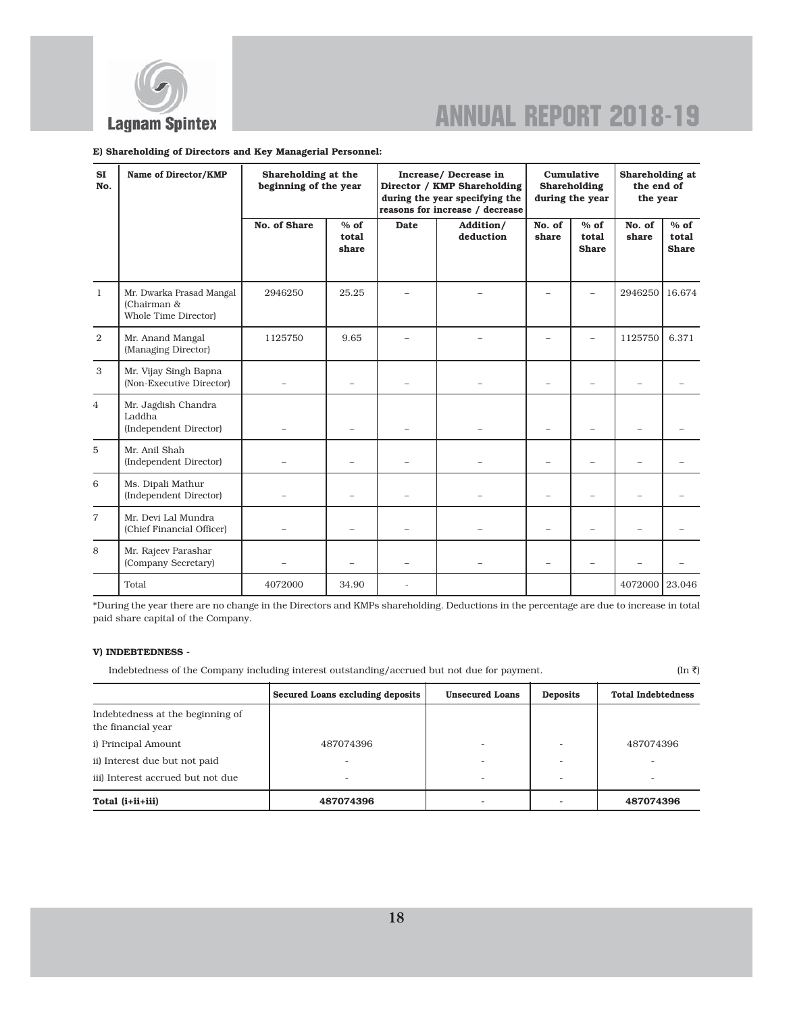

#### E) Shareholding of Directors and Key Managerial Personnel:

| SI<br>No.      | Name of Director/KMP                                            | Shareholding at the<br>beginning of the year |                          |             | Increase/ Decrease in<br>Director / KMP Shareholding<br>during the year specifying the<br>reasons for increase / decrease | Cumulative<br>Shareholding<br>during the year |                                 | Shareholding at<br>the end of<br>the year |                                 |
|----------------|-----------------------------------------------------------------|----------------------------------------------|--------------------------|-------------|---------------------------------------------------------------------------------------------------------------------------|-----------------------------------------------|---------------------------------|-------------------------------------------|---------------------------------|
|                |                                                                 | No. of Share                                 | $%$ of<br>total<br>share | <b>Date</b> | Addition/<br>deduction                                                                                                    | No. of<br>share                               | $%$ of<br>total<br><b>Share</b> | No. of<br>share                           | $%$ of<br>total<br><b>Share</b> |
| $\mathbf{1}$   | Mr. Dwarka Prasad Mangal<br>(Chairman &<br>Whole Time Director) | 2946250                                      | 25.25                    |             |                                                                                                                           |                                               |                                 | 2946250                                   | 16.674                          |
| 2              | Mr. Anand Mangal<br>(Managing Director)                         | 1125750                                      | 9.65                     |             |                                                                                                                           |                                               |                                 | 1125750                                   | 6.371                           |
| 3              | Mr. Vijay Singh Bapna<br>(Non-Executive Director)               |                                              |                          |             |                                                                                                                           |                                               |                                 |                                           |                                 |
| 4              | Mr. Jagdish Chandra<br>Laddha<br>(Independent Director)         |                                              |                          |             |                                                                                                                           |                                               |                                 |                                           |                                 |
| 5              | Mr. Anil Shah<br>(Independent Director)                         |                                              |                          |             |                                                                                                                           |                                               | $\equiv$                        |                                           |                                 |
| 6              | Ms. Dipali Mathur<br>(Independent Director)                     |                                              |                          |             |                                                                                                                           |                                               | $\equiv$                        | $\equiv$                                  |                                 |
| $\overline{7}$ | Mr. Devi Lal Mundra<br>(Chief Financial Officer)                |                                              |                          |             |                                                                                                                           |                                               | $\overline{\phantom{0}}$        | $\overline{\phantom{0}}$                  |                                 |
| 8              | Mr. Rajeev Parashar<br>(Company Secretary)                      |                                              |                          |             |                                                                                                                           | $\equiv$                                      | $\overline{\phantom{0}}$        |                                           |                                 |
|                | Total                                                           | 4072000                                      | 34.90                    |             |                                                                                                                           |                                               |                                 | 4072000                                   | 23.046                          |

\*During the year there are no change in the Directors and KMPs shareholding. Deductions in the percentage are due to increase in total paid share capital of the Company.

#### V) INDEBTEDNESS -

Indebtedness of the Company including interest outstanding/accrued but not due for payment. (In  $\bar{r}$ )

|                                                        | Secured Loans excluding deposits | <b>Unsecured Loans</b> | <b>Deposits</b> | <b>Total Indebtedness</b> |
|--------------------------------------------------------|----------------------------------|------------------------|-----------------|---------------------------|
| Indebtedness at the beginning of<br>the financial year |                                  |                        |                 |                           |
| i) Principal Amount                                    | 487074396                        |                        |                 | 487074396                 |
| ii) Interest due but not paid                          |                                  |                        |                 |                           |
| iii) Interest accrued but not due                      |                                  |                        |                 |                           |
| Total (i+ii+iii)                                       | 487074396                        |                        |                 | 487074396                 |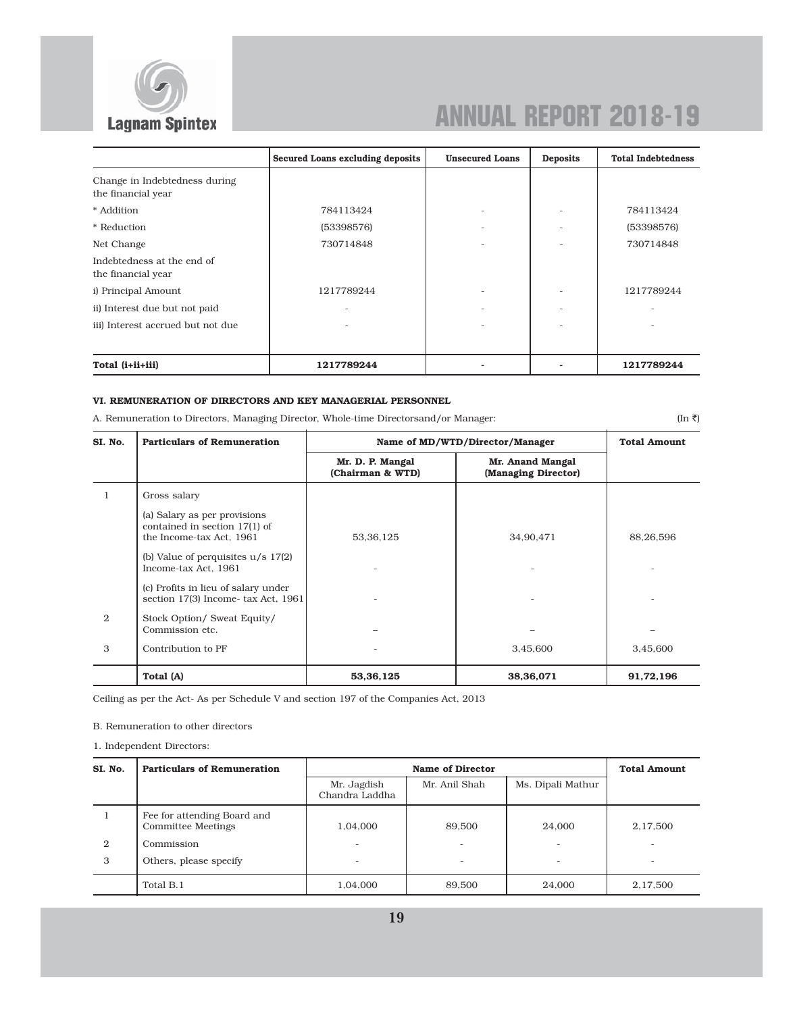

|                                                     | Secured Loans excluding deposits | <b>Unsecured Loans</b> | <b>Deposits</b> | <b>Total Indebtedness</b> |
|-----------------------------------------------------|----------------------------------|------------------------|-----------------|---------------------------|
| Change in Indebtedness during<br>the financial year |                                  |                        |                 |                           |
| * Addition                                          | 784113424                        |                        |                 | 784113424                 |
| * Reduction                                         | (53398576)                       | -                      |                 | (53398576)                |
| Net Change                                          | 730714848                        |                        |                 | 730714848                 |
| Indebtedness at the end of<br>the financial year    |                                  |                        |                 |                           |
| i) Principal Amount                                 | 1217789244                       |                        |                 | 1217789244                |
| ii) Interest due but not paid                       |                                  |                        |                 |                           |
| iii) Interest accrued but not due                   |                                  |                        |                 |                           |
| Total (i+ii+iii)                                    | 1217789244                       |                        |                 | 1217789244                |

### VI. REMUNERATION OF DIRECTORS AND KEY MANAGERIAL PERSONNEL

A. Remuneration to Directors, Managing Director, Whole-time Directorsand/or Manager: (In  $\bar{z}$ ) (In  $\bar{z}$ )

| SI. No. | <b>Particulars of Remuneration</b>                                                        | Name of MD/WTD/Director/Manager      | <b>Total Amount</b>                     |           |
|---------|-------------------------------------------------------------------------------------------|--------------------------------------|-----------------------------------------|-----------|
|         |                                                                                           | Mr. D. P. Mangal<br>(Chairman & WTD) | Mr. Anand Mangal<br>(Managing Director) |           |
|         | Gross salary                                                                              |                                      |                                         |           |
|         | (a) Salary as per provisions<br>contained in section 17(1) of<br>the Income-tax Act, 1961 | 53, 36, 125                          | 34.90.471                               | 88,26,596 |
|         | (b) Value of perquisites $u/s$ 17(2)<br>Income-tax Act, 1961                              |                                      |                                         |           |
|         | (c) Profits in lieu of salary under<br>section 17(3) Income-tax Act, 1961                 |                                      |                                         |           |
| 2       | Stock Option/ Sweat Equity/<br>Commission etc.                                            |                                      |                                         |           |
| 3       | Contribution to PF                                                                        |                                      | 3,45,600                                | 3,45,600  |
|         | Total (A)                                                                                 | 53,36,125                            | 38,36,071                               | 91,72,196 |

Ceiling as per the Act- As per Schedule V and section 197 of the Companies Act, 2013

B. Remuneration to other directors

1. Independent Directors:

| SI. No. | <b>Particulars of Remuneration</b>                |                               | <b>Name of Director</b> |                   |          |  |  |  |
|---------|---------------------------------------------------|-------------------------------|-------------------------|-------------------|----------|--|--|--|
|         |                                                   | Mr. Jagdish<br>Chandra Laddha | Mr. Anil Shah           | Ms. Dipali Mathur |          |  |  |  |
|         | Fee for attending Board and<br>Committee Meetings | 1,04,000                      | 89,500                  | 24,000            | 2,17,500 |  |  |  |
| 2       | Commission                                        | $\overline{\phantom{0}}$      |                         |                   |          |  |  |  |
| 3       | Others, please specify                            |                               |                         |                   |          |  |  |  |
|         | Total B.1                                         | 1,04,000                      | 89,500                  | 24,000            | 2,17,500 |  |  |  |